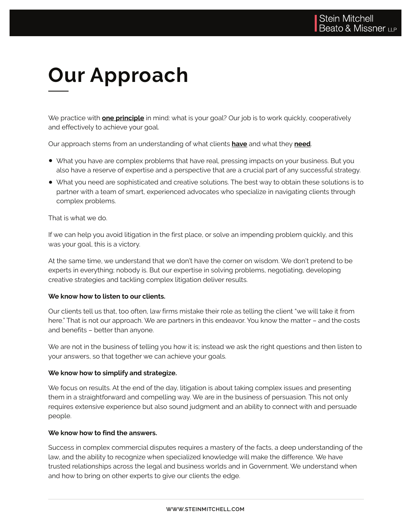# **Our Approach**

We practice with **one principle** in mind: what is your goal? Our job is to work quickly, cooperatively and effectively to achieve your goal.

Our approach stems from an understanding of what clients **have** and what they **need**.

- What you have are complex problems that have real, pressing impacts on your business. But you also have a reserve of expertise and a perspective that are a crucial part of any successful strategy.
- What you need are sophisticated and creative solutions. The best way to obtain these solutions is to partner with a team of smart, experienced advocates who specialize in navigating clients through complex problems.

That is what we do.

If we can help you avoid litigation in the first place, or solve an impending problem quickly, and this was your goal, this is a victory.

At the same time, we understand that we don't have the corner on wisdom. We don't pretend to be experts in everything; nobody is. But our expertise in solving problems, negotiating, developing creative strategies and tackling complex litigation deliver results.

### **We know how to listen to our clients.**

Our clients tell us that, too often, law firms mistake their role as telling the client "we will take it from here." That is not our approach. We are partners in this endeavor. You know the matter – and the costs and benefits – better than anyone.

We are not in the business of telling you how it is; instead we ask the right questions and then listen to your answers, so that together we can achieve your goals.

### **We know how to simplify and strategize.**

We focus on results. At the end of the day, litigation is about taking complex issues and presenting them in a straightforward and compelling way. We are in the business of persuasion. This not only requires extensive experience but also sound judgment and an ability to connect with and persuade people.

### **We know how to find the answers.**

Success in complex commercial disputes requires a mastery of the facts, a deep understanding of the law, and the ability to recognize when specialized knowledge will make the difference. We have trusted relationships across the legal and business worlds and in Government. We understand when and how to bring on other experts to give our clients the edge.